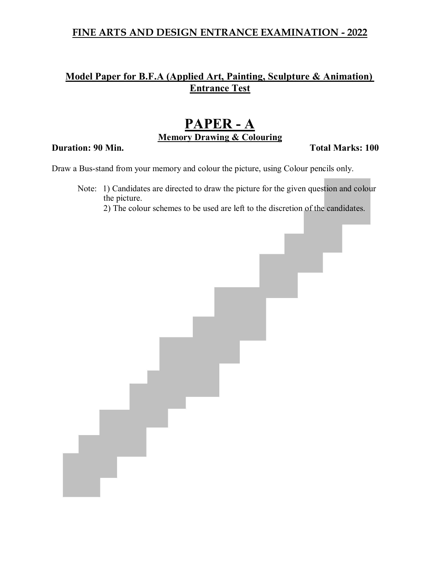## **FINE ARTS AND DESIGN ENTRANCE EXAMINATION - 2022**

# **Model Paper for B.F.A (Applied Art, Painting, Sculpture & Animation) Entrance Test**

# **PAPER - A Memory Drawing & Colouring**

### **Duration: 90 Min. Total Marks: 100**

Draw a Bus-stand from your memory and colour the picture, using Colour pencils only.

Note: 1) Candidates are directed to draw the picture for the given question and colour the picture.

2) The colour schemes to be used are left to the discretion of the candidates.

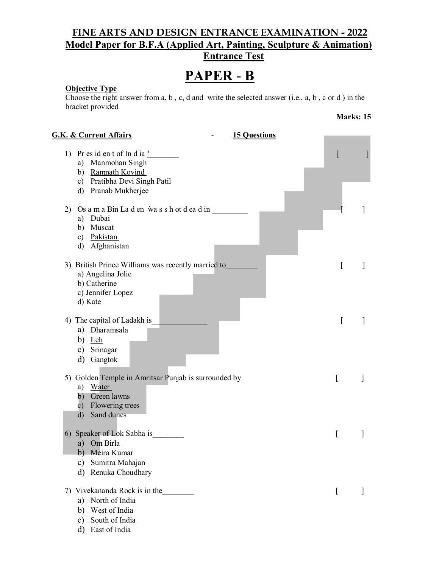# **FINE ARTS AND DESIGN ENTRANCE EXAMINATION - 2022 Model Paper for B.F.A (Applied Art, Painting, Sculpture & Animation) Entrance Test**

# **PAPER** - **B**

### **Objective Type**

Choose the right answer from a, b , c, d and write the selected answer (i.e., a, b , c or d ) in the bracket provided

| <b>G.K. &amp; Current Affairs</b><br><b>15 Questions</b>                                                                                               |                  |   |
|--------------------------------------------------------------------------------------------------------------------------------------------------------|------------------|---|
| 1) Pr es id en t of In d ia'<br>Manmohan Singh<br>a)<br>b) Ramnath Kovind<br>c) Pratibha Devi Singh Patil<br>d) Pranab Mukherjee                       |                  |   |
| 2) Os a m a Bin La d en was s h ot d ea d in<br>a) Dubai<br>b) Muscat<br>c) Pakistan                                                                   |                  |   |
| d) Afghanistan<br>3) British Prince Williams was recently married to<br>a) Angelina Jolie<br>b) Catherine                                              |                  |   |
| c) Jennifer Lopez<br>d) Kate<br>4) The capital of Ladakh is<br>a) Dharamsala<br>b) Leh                                                                 | ſ                | 1 |
| c) Srinagar<br>d) Gangtok<br>5) Golden Temple in Amritsar Punjab is surrounded by<br>a) Water<br>b) Green lawns<br>c) Flowering trees<br>d) Sand dunes | L                |   |
| 6) Speaker of Lok Sabha is<br>a) Om Birla<br>b) Meira Kumar<br>Sumitra Mahajan<br>c)<br>$\rm d$<br>Renuka Choudhary                                    | [                |   |
| 7) Vivekananda Rock is in the<br>a) North of India<br>West of India<br>b)<br>South of India<br>$\mathbf{c})$<br>East of India<br>d)                    | $\left[ \right]$ |   |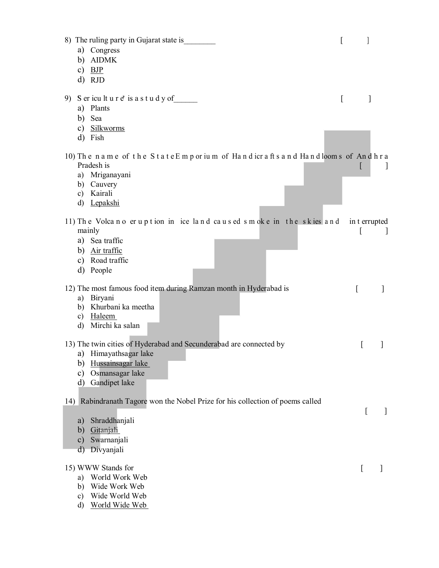| 8) The ruling party in Gujarat state is<br>a) Congress                              | [        |               |    |
|-------------------------------------------------------------------------------------|----------|---------------|----|
| <b>AIDMK</b><br>b)                                                                  |          |               |    |
| c) $BJP$                                                                            |          |               |    |
| d) RJD                                                                              |          |               |    |
| 9) Sericulture' is a study of                                                       | $\Gamma$ |               |    |
| a) Plants                                                                           |          |               |    |
| Sea<br>b)                                                                           |          |               |    |
| c) Silkworms                                                                        |          |               |    |
| Fish<br>d)                                                                          |          |               |    |
| 10) The name of the StateEmporium of Handicrafts and Handlooms of Andhra            |          |               |    |
| Pradesh is                                                                          |          |               |    |
| a) Mriganayani<br>b) Cauvery                                                        |          |               |    |
| Kairali<br>c)                                                                       |          |               |    |
| Lepakshi<br>d)                                                                      |          |               |    |
|                                                                                     |          |               |    |
| 11) The Volcano eruption in ice land caused smoke in the skies and<br>mainly        |          | in t errupted | -1 |
| a) Sea traffic                                                                      |          |               |    |
| b) Air traffic                                                                      |          |               |    |
| c) Road traffic                                                                     |          |               |    |
| d) People                                                                           |          |               |    |
| 12) The most famous food item during Ramzan month in Hyderabad is                   |          |               |    |
| Biryani<br>a)                                                                       |          | L             |    |
| b) Khurbani ka meetha                                                               |          |               |    |
| c) Haleem                                                                           |          |               |    |
| Mirchi ka salan<br>$\rm d$                                                          |          |               |    |
| 13) The twin cities of Hyderabad and Secunderabad are connected by                  |          | L             |    |
| a) Himayathsagar lake                                                               |          |               |    |
| Hussainsagar lake<br>b)                                                             |          |               |    |
| Osmansagar lake<br>c)                                                               |          |               |    |
| Gandipet lake<br>d)                                                                 |          |               |    |
| Rabindranath Tagore won the Nobel Prize for his collection of poems called<br>$14)$ |          |               |    |
|                                                                                     |          | L             | 1  |
| Shraddhanjali<br>a)<br>Gitanjali<br>b)                                              |          |               |    |
| Swarnanjali<br>$\mathbf{c})$                                                        |          |               |    |
| Divyanjali<br>d)                                                                    |          |               |    |
|                                                                                     |          |               |    |
| 15) WWW Stands for<br>World Work Web                                                |          | [             |    |
| a)<br>Wide Work Web<br>b)                                                           |          |               |    |
| Wide World Web<br>$\mathbf{c})$                                                     |          |               |    |
| World Wide Web<br>d)                                                                |          |               |    |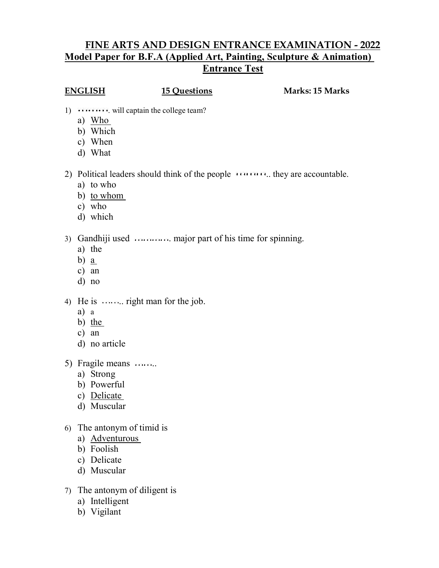## **FINE ARTS AND DESIGN ENTRANCE EXAMINATION - 2022 Model Paper for B.F.A (Applied Art, Painting, Sculpture & Animation) Entrance Test**

**ENGLISH 15 Questions Marks: 15 Marks**

- 1)  $\dots \dots \dots$  will captain the college team?
	- a) Who
	- b) Which
	- c) When
	- d) What
- 2) Political leaders should think of the people **All Collection** they are accountable.
	- a) to who
	- b) to whom
	- c) who
	- d) which
- 3) Gandhiji used . major part of his time for spinning.
	- a) the
	- b) a
	- c) an
	- d) no
- 4) He is  $\cdots$  right man for the job.
	- a) a
	- b) the
	- c) an
	- d) no article
- 5) Fragile means ........
	- a) Strong
	- b) Powerful
	- c) Delicate
	- d) Muscular
- 6) The antonym of timid is
	- a) Adventurous
	- b) Foolish
	- c) Delicate
	- d) Muscular
- 7) The antonym of diligent is
	- a) Intelligent
	- b) Vigilant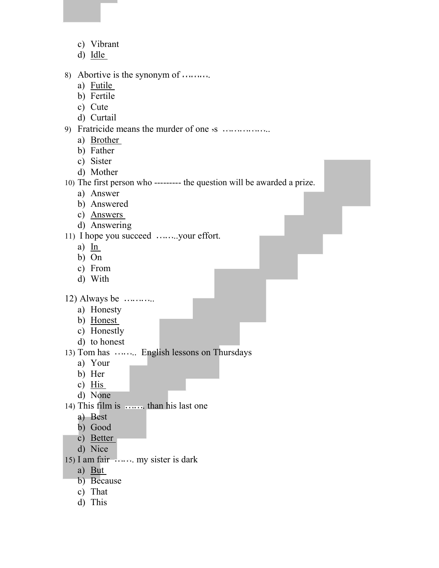- c) Vibrant
- d) Idle
- 8) Abortive is the synonym of .
	- a) Futile
	- b) Fertile
	- c) Cute
	- d) Curtail
- 9) Fratricide means the murder of one s ..
	- a) Brother
	- b) Father
	- c) Sister
	- d) Mother

10) The first person who --------- the question will be awarded a prize.

- a) Answer
- b) Answered
- c) Answers
- d) Answering

11) I hope you succeed .......your effort.

- a) In
- b) On
- c) From
- d) With

 $12)$  Always be  $\ldots$  ...

- a) Honesty
- b) Honest
- c) Honestly
- d) to honest
- 13) Tom has ........ English lessons on Thursdays
	- a) Your
	- b) Her
	- c) His
	- d) None
- 14) This film is  $\cdots$  than his last one
	- a) Best
	- b) Good
	- c) Better
	- d) Nice
- 15) I am fair . my sister is dark
	- a) But
	- b) Because
	- c) That
	- d) This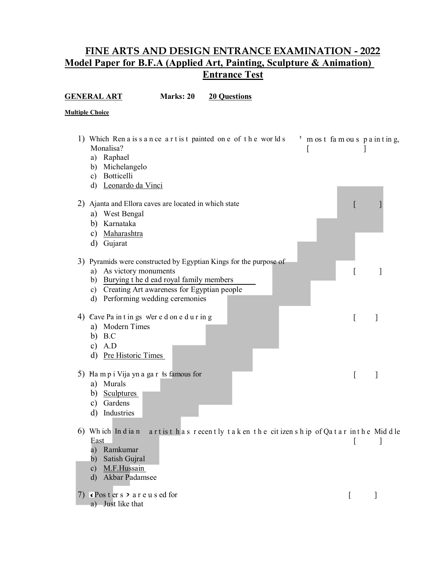### **FINE ARTS AND DESIGN ENTRANCE EXAMINATION - 2022 Model Paper for B.F.A (Applied Art, Painting, Sculpture & Animation) Entrance Test**

**GENERAL ART** Marks: 20 20 Questions

| <b>Multiple Choice</b>                                                                                                                                                                                                                             |                      |  |
|----------------------------------------------------------------------------------------------------------------------------------------------------------------------------------------------------------------------------------------------------|----------------------|--|
| 1) Which Ren a is s a n ce a r t is t painted on e of the worlds<br>Monalisa?<br>[<br>a) Raphael<br>Michelangelo<br>b)<br>Botticelli<br>c)<br>d) Leonardo da Vinci                                                                                 | most famous painting |  |
| 2) Ajanta and Ellora caves are located in which state<br>a) West Bengal<br>Karnataka<br>b)<br>Maharashtra<br>$\mathbf{c})$<br>d) Gujarat                                                                                                           |                      |  |
| 3) Pyramids were constructed by Egyptian Kings for the purpose of<br>As victory monuments<br>a)<br>Burying t he d ead royal family members<br>b)<br>c) Creating Art awareness for Egyptian people<br>Performing wedding ceremonies<br>$\mathbf{d}$ |                      |  |
| 4) Cave Pa in t in gs were d on e d u r in g<br>a) Modern Times<br>b) $B.C$<br>c) $A.D$<br>d) Pre Historic Times                                                                                                                                   |                      |  |
| 5) Ha m p i Vija yn a ga r is famous for<br>a) Murals<br>b)<br><b>Sculptures</b><br>Gardens<br>c)<br>Industries<br>d)                                                                                                                              |                      |  |

- 6) Wh ich In d ia n a r t is t h a s r ecen t ly t a k en t h e cit izen s h ip of Qa t a r in t h e Mid d le East [ ]
	- a) Ramkumar
	- b) Satish Gujral
	- c) M.F.Hussain
	- d) Akbar Padamsee
- 7) Poster s  $\ge$  a r e u s ed for [ ] a) Just like that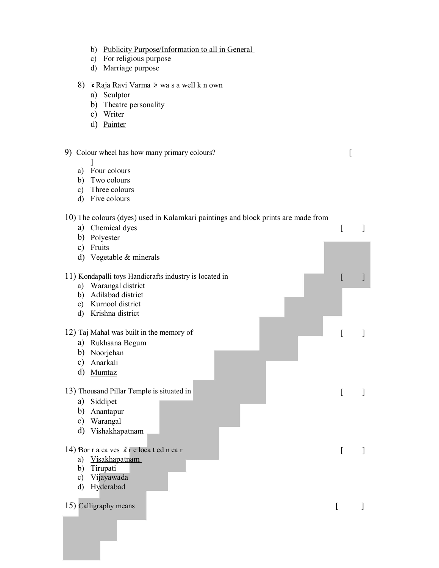- b) Publicity Purpose/Information to all in General
- c) For religious purpose
- d) Marriage purpose
- 8) Raja Ravi Varma > wa s a well k n own
	- a) Sculptor
	- b) Theatre personality
	- c) Writer
	- d) Painter

### 9) Colour wheel has how many primary colours? [

- ]
- a) Four colours
- b) Two colours
- c) Three colours
- d) Five colours

### 10) The colours (dyes) used in Kalamkari paintings and block prints are made from

| Chemical dyes<br>a)                                    |   |                |
|--------------------------------------------------------|---|----------------|
| Polyester<br>b)                                        |   |                |
| Fruits<br>$\mathbf{c})$                                |   |                |
| d)<br>Vegetable & minerals                             |   |                |
|                                                        |   |                |
| 11) Kondapalli toys Handicrafts industry is located in | L |                |
| Warangal district<br>a)                                |   |                |
| Adilabad district<br>b)                                |   |                |
| Kurnool district<br>$\mathbf{c})$                      |   |                |
| Krishna district<br>d)                                 |   |                |
|                                                        |   |                |
| 12) Taj Mahal was built in the memory of               | [ |                |
| Rukhsana Begum<br>a)                                   |   |                |
| Noorjehan<br>b)                                        |   |                |
| Anarkali<br>$\mathbf{c})$                              |   |                |
| d)<br>Mumtaz                                           |   |                |
| 13) Thousand Pillar Temple is situated in              | [ |                |
| Siddipet<br>a)                                         |   |                |
| Anantapur<br>b)                                        |   |                |
| $\mathbf{c})$                                          |   |                |
| Warangal<br>d)                                         |   |                |
| Vishakhapatnam                                         |   |                |
| 14) Bor r a ca ves à r e loca t ed n ea r              |   |                |
| <b>Visakhapatnam</b><br>a)                             | [ | $\overline{1}$ |
| Tirupati<br>b)                                         |   |                |
| Vijayawada<br>$\mathbf{c})$                            |   |                |
| Hyderabad<br>d)                                        |   |                |
|                                                        |   |                |
| 15) Calligraphy means                                  | ſ | 1              |
|                                                        |   |                |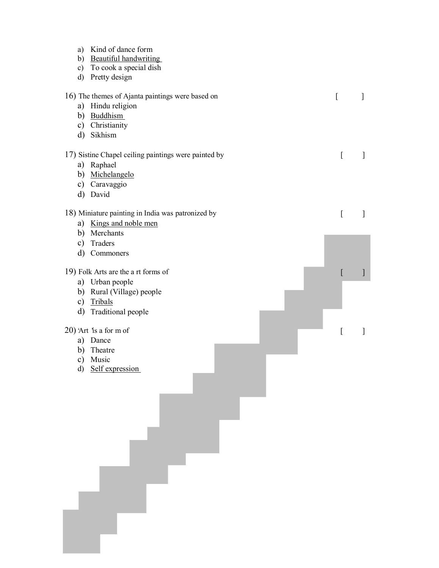| a) Kind of dance form<br>b) Beautiful handwriting<br>c) To cook a special dish<br>d) Pretty design                    |          |              |
|-----------------------------------------------------------------------------------------------------------------------|----------|--------------|
| 16) The themes of Ajanta paintings were based on<br>a) Hindu religion<br>b) Buddhism<br>c) Christianity<br>d) Sikhism | $\Gamma$ | 1            |
| 17) Sistine Chapel ceiling paintings were painted by<br>a) Raphael<br>b) Michelangelo<br>c) Caravaggio<br>d) David    | [        | 1            |
| 18) Miniature painting in India was patronized by<br>a) Kings and noble men<br>b) Merchants                           | [        | $\mathbf{I}$ |
| Traders<br>$\mathbf{c})$<br>d) Commoners                                                                              |          |              |
| 19) Folk Arts are the a rt forms of<br>a) Urban people                                                                | [        | $\big]$      |
| b) Rural (Village) people<br>c) Tribals<br>d) Traditional people                                                      |          |              |
| $20$ ) 'Art 'is a for m of<br>a) Dance<br>Theatre<br>b)<br>$\mathbf{c})$<br>Music<br>d) Self expression               | [        | $\mathbf{I}$ |
|                                                                                                                       |          |              |